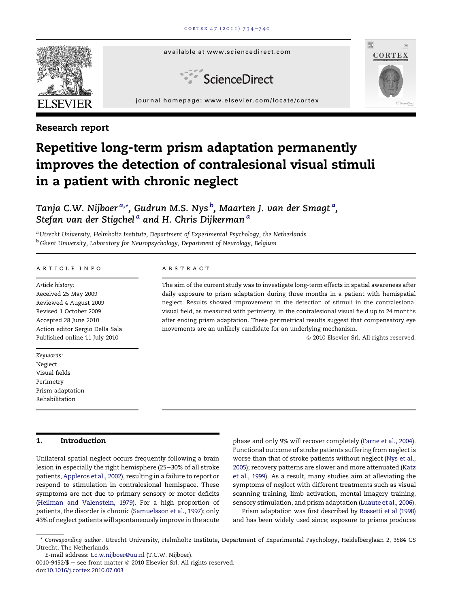

Research report

# Repetitive long-term prism adaptation permanently improves the detection of contralesional visual stimuli in a patient with chronic neglect

Tanja C.W. Nijboer <sup>a,</sup>\*, Gudrun M.S. Nys <sup>b</sup>, Maarten J. van der Smagt <sup>a</sup>, Stefan van der Stigchel<sup>a</sup> and H. Chris Dijkerman<sup>a</sup>

a Utrecht University, Helmholtz Institute, Department of Experimental Psychology, the Netherlands <sup>b</sup> Ghent University, Laboratory for Neuropsychology, Department of Neurology, Belgium

#### article info

Article history: Received 25 May 2009 Reviewed 4 August 2009 Revised 1 October 2009 Accepted 28 June 2010 Action editor Sergio Della Sala Published online 11 July 2010

Keywords: Neglect Visual fields Perimetry Prism adaptation Rehabilitation

## **ABSTRACT**

The aim of the current study was to investigate long-term effects in spatial awareness after daily exposure to prism adaptation during three months in a patient with hemispatial neglect. Results showed improvement in the detection of stimuli in the contralesional visual field, as measured with perimetry, in the contralesional visual field up to 24 months after ending prism adaptation. These perimetrical results suggest that compensatory eye movements are an unlikely candidate for an underlying mechanism.

 $@$  2010 Elsevier Srl. All rights reserved.

## 1. Introduction

Unilateral spatial neglect occurs frequently following a brain lesion in especially the right hemisphere (25-30% of all stroke patients, [Appleros et al., 2002](#page-6-0)), resulting in a failure to report or respond to stimulation in contralesional hemispace. These symptoms are not due to primary sensory or motor deficits ([Heilman and Valenstein, 1979](#page-6-0)). For a high proportion of patients, the disorder is chronic ([Samuelsson et al., 1997\)](#page-6-0); only 43% of neglect patients will spontaneously improve in the acute phase and only 9% will recover completely ([Farne et al., 2004\)](#page-6-0). Functional outcome of stroke patients suffering from neglect is worse than that of stroke patients without neglect [\(Nys et al.,](#page-6-0) [2005\)](#page-6-0); recovery patterns are slower and more attenuated ([Katz](#page-6-0) [et al., 1999\)](#page-6-0). As a result, many studies aim at alleviating the symptoms of neglect with different treatments such as visual scanning training, limb activation, mental imagery training, sensory stimulation, and prism adaptation [\(Luaute et al., 2006\)](#page-6-0).

Prism adaptation was first described by [Rossetti et al \(1998\)](#page-6-0) and has been widely used since; exposure to prisms produces

E-mail address: [t.c.w.nijboer@uu.nl](mailto:t.c.w.nijboer@uu.nl) (T.C.W. Nijboer). 0010-9452/\$ - see front matter  $\odot$  2010 Elsevier Srl. All rights reserved. doi:[10.1016/j.cortex.2010.07.003](http://dx.doi.org/10.1016/j.cortex.2010.07.003)

<sup>\*</sup> Corresponding author. Utrecht University, Helmholtz Institute, Department of Experimental Psychology, Heidelberglaan 2, 3584 CS Utrecht, The Netherlands.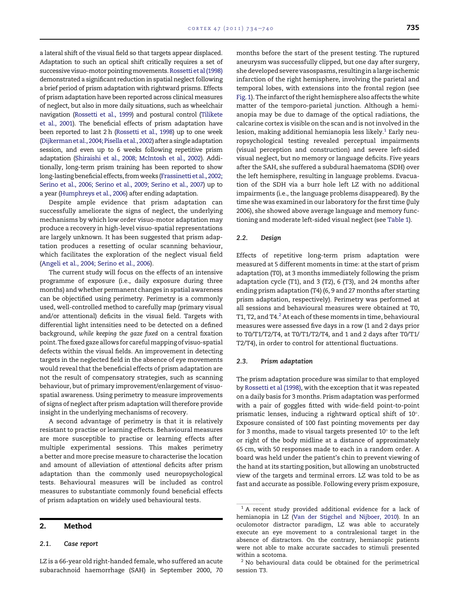a lateral shift of the visual field so that targets appear displaced. Adaptation to such an optical shift critically requires a set of successive visuo-motor pointingmovements.[Rossetti et al \(1998\)](#page-6-0) demonstrated a significant reduction in spatial neglect following a brief period of prism adaptation with rightward prisms. Effects of prism adaptation have been reported across clinical measures of neglect, but also in more daily situations, such as wheelchair navigation ([Rossetti et al., 1999](#page-6-0)) and postural control ([Tilikete](#page-6-0) [et al., 2001\)](#page-6-0). The beneficial effects of prism adaptation have been reported to last 2 h ([Rossetti et al., 1998](#page-6-0)) up to one week [\(Dijkerman et al., 2004; Pisella et al., 2002\)](#page-6-0) after a single adaptation session, and even up to 6 weeks following repetitive prism adaptation [\(Shiraishi et al., 2008; McIntosh et al., 2002](#page-6-0)). Additionally, long-term prism training has been reported to show long-lasting beneficial effects, fromweeks [\(Frassinetti et al., 2002;](#page-6-0) [Serino et al., 2006; Serino et al., 2009; Serino et al., 2007](#page-6-0)) up to a year [\(Humphreys et al., 2006](#page-6-0)) after ending adaptation.

Despite ample evidence that prism adaptation can successfully ameliorate the signs of neglect, the underlying mechanisms by which low order visuo-motor adaptation may produce a recovery in high-level visuo-spatial representations are largely unknown. It has been suggested that prism adaptation produces a resetting of ocular scanning behaviour, which facilitates the exploration of the neglect visual field [\(Angeli et al., 2004; Serino et al., 2006](#page-6-0)).

The current study will focus on the effects of an intensive programme of exposure (i.e., daily exposure during three months) and whether permanent changes in spatial awareness can be objectified using perimetry. Perimetry is a commonly used, well-controlled method to carefully map (primary visual and/or attentional) deficits in the visual field. Targets with differential light intensities need to be detected on a defined background, while keeping the gaze fixed on a central fixation point. The fixed gaze allows for carefulmapping of visuo-spatial defects within the visual fields. An improvement in detecting targets in the neglected field in the absence of eye movements would reveal that the beneficial effects of prism adaptation are not the result of compensatory strategies, such as scanning behaviour, but of primary improvement/enlargement of visuospatial awareness. Using perimetry to measure improvements of signs of neglect after prism adaptation will therefore provide insight in the underlying mechanisms of recovery.

A second advantage of perimetry is that it is relatively resistant to practise or learning effects. Behavioural measures are more susceptible to practise or learning effects after multiple experimental sessions. This makes perimetry a better and more precise measure to characterise the location and amount of alleviation of attentional deficits after prism adaptation than the commonly used neuropsychological tests. Behavioural measures will be included as control measures to substantiate commonly found beneficial effects of prism adaptation on widely used behavioural tests.

## 2. Method

#### 2.1. Case report

LZ is a 66-year old right-handed female, who suffered an acute subarachnoid haemorrhage (SAH) in September 2000, 70 months before the start of the present testing. The ruptured aneurysm was successfully clipped, but one day after surgery, she developed severe vasospasms, resulting in a large ischemic infarction of the right hemisphere, involving the parietal and temporal lobes, with extensions into the frontal region (see [Fig. 1](#page-2-0)). The infarct of the right hemisphere also affects the white matter of the temporo-parietal junction. Although a hemianopia may be due to damage of the optical radiations, the calcarine cortex is visible on the scan and is not involved in the lesion, making additional hemianopia less likely.<sup>1</sup> Early neuropsychological testing revealed perceptual impairments (visual perception and construction) and severe left-sided visual neglect, but no memory or language deficits. Five years after the SAH, she suffered a subdural haematoma (SDH) over the left hemisphere, resulting in language problems. Evacuation of the SDH via a burr hole left LZ with no additional impairments (i.e., the language problems disappeared). By the time she was examined in our laboratory for the first time (July 2006), she showed above average language and memory functioning and moderate left-sided visual neglect (see [Table 1](#page-3-0)).

### 2.2. Design

Effects of repetitive long-term prism adaptation were measured at 5 different moments in time: at the start of prism adaptation (T0), at 3 months immediately following the prism adaptation cycle (T1), and 3 (T2), 6 (T3), and 24 months after ending prism adaptation (T4) (6, 9 and 27 months after starting prism adaptation, respectively). Perimetry was performed at all sessions and behavioural measures were obtained at T0, T1, T2, and T4. ${}^{2}$  At each of these moments in time, behavioural measures were assessed five days in a row (1 and 2 days prior to T0/T1/T2/T4, at T0/T1/T2/T4, and 1 and 2 days after T0/T1/ T2/T4), in order to control for attentional fluctuations.

#### 2.3. Prism adaptation

The prism adaptation procedure was similar to that employed by [Rossetti et al \(1998\)](#page-6-0), with the exception that it was repeated on a daily basis for 3 months. Prism adaptation was performed with a pair of goggles fitted with wide-field point-to-point prismatic lenses, inducing a rightward optical shift of 10°. Exposure consisted of 100 fast pointing movements per day for 3 months, made to visual targets presented  $10^{\circ}$  to the left or right of the body midline at a distance of approximately 65 cm, with 50 responses made to each in a random order. A board was held under the patient's chin to prevent viewing of the hand at its starting position, but allowing an unobstructed view of the targets and terminal errors. LZ was told to be as fast and accurate as possible. Following every prism exposure,

<sup>&</sup>lt;sup>1</sup> A recent study provided additional evidence for a lack of hemianopia in LZ ([Van der Stigchel and Nijboer, 2010\)](#page-6-0). In an oculomotor distractor paradigm, LZ was able to accurately execute an eye movement to a contralesional target in the absence of distractors. On the contrary, hemianopic patients were not able to make accurate saccades to stimuli presented within a scotoma.

 $2$  No behavioural data could be obtained for the perimetrical session T3.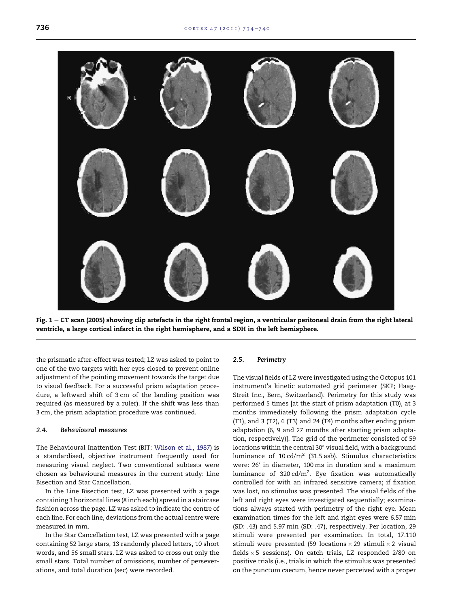<span id="page-2-0"></span>

Fig.  $1 - CT$  scan (2005) showing clip artefacts in the right frontal region, a ventricular peritoneal drain from the right lateral ventricle, a large cortical infarct in the right hemisphere, and a SDH in the left hemisphere.

the prismatic after-effect was tested; LZ was asked to point to one of the two targets with her eyes closed to prevent online adjustment of the pointing movement towards the target due to visual feedback. For a successful prism adaptation procedure, a leftward shift of 3 cm of the landing position was required (as measured by a ruler). If the shift was less than 3 cm, the prism adaptation procedure was continued.

## 2.4. Behavioural measures

The Behavioural Inattention Test (BIT: [Wilson et al., 1987\)](#page-6-0) is a standardised, objective instrument frequently used for measuring visual neglect. Two conventional subtests were chosen as behavioural measures in the current study: Line Bisection and Star Cancellation.

In the Line Bisection test, LZ was presented with a page containing 3 horizontal lines (8 inch each) spread in a staircase fashion across the page. LZ was asked to indicate the centre of each line. For each line, deviations from the actual centre were measured in mm.

In the Star Cancellation test, LZ was presented with a page containing 52 large stars, 13 randomly placed letters, 10 short words, and 56 small stars. LZ was asked to cross out only the small stars. Total number of omissions, number of perseverations, and total duration (sec) were recorded.

#### 2.5. Perimetry

The visual fields of LZ were investigated using the Octopus 101 instrument's kinetic automated grid perimeter (SKP; Haag-Streit Inc., Bern, Switzerland). Perimetry for this study was performed 5 times [at the start of prism adaptation (T0), at 3 months immediately following the prism adaptation cycle (T1), and 3 (T2), 6 (T3) and 24 (T4) months after ending prism adaptation (6, 9 and 27 months after starting prism adaptation, respectively)]. The grid of the perimeter consisted of 59 locations within the central 30° visual field, with a background luminance of  $10 \text{ cd/m}^2$  (31.5 asb). Stimulus characteristics were: 26' in diameter, 100 ms in duration and a maximum luminance of 320 cd/m<sup>2</sup>. Eye fixation was automatically controlled for with an infrared sensitive camera; if fixation was lost, no stimulus was presented. The visual fields of the left and right eyes were investigated sequentially; examinations always started with perimetry of the right eye. Mean examination times for the left and right eyes were 6.57 min (SD: .43) and 5.97 min (SD: .47), respectively. Per location, 29 stimuli were presented per examination. In total, 17.110 stimuli were presented (59 locations  $\times$  29 stimuli  $\times$  2 visual fields  $\times$  5 sessions). On catch trials, LZ responded 2/80 on positive trials (i.e., trials in which the stimulus was presented on the punctum caecum, hence never perceived with a proper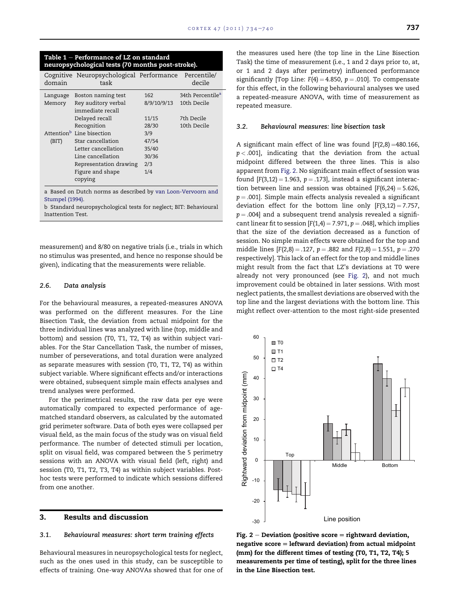<span id="page-3-0"></span>

| Table $1$ – Performance of LZ on standard<br>neuropsychological tests (70 months post-stroke). |          |                                                              |             |                              |
|------------------------------------------------------------------------------------------------|----------|--------------------------------------------------------------|-------------|------------------------------|
|                                                                                                | domain   | Cognitive Neuropsychological Performance Percentile/<br>task |             | decile                       |
|                                                                                                | Language | Boston naming test                                           | 162         | 34th Percentile <sup>a</sup> |
|                                                                                                | Memory   | Rey auditory verbal                                          | 8/9/10/9/13 | 10th Decile                  |
|                                                                                                |          | immediate recall                                             |             |                              |
|                                                                                                |          | Delayed recall                                               | 11/15       | 7th Decile                   |
|                                                                                                |          | Recognition                                                  | 28/30       | 10th Decile                  |
|                                                                                                |          | Attention <sup>b</sup> Line bisection                        | 3/9         |                              |
|                                                                                                | (BIT)    | Star cancellation                                            | 47/54       |                              |
|                                                                                                |          | Letter cancellation                                          | 35/40       |                              |
|                                                                                                |          | Line cancellation                                            | 30/36       |                              |
|                                                                                                |          | Representation drawing                                       | 2/3         |                              |
|                                                                                                |          | Figure and shape                                             | 1/4         |                              |
|                                                                                                |          | copying                                                      |             |                              |

a Based on Dutch norms as described by [van Loon-Vervoorn and](#page-6-0) [Stumpel \(1994\)](#page-6-0).

b Standard neuropsychological tests for neglect; BIT: Behavioural Inattention Test.

measurement) and 8/80 on negative trials (i.e., trials in which no stimulus was presented, and hence no response should be given), indicating that the measurements were reliable.

## 2.6. Data analysis

For the behavioural measures, a repeated-measures ANOVA was performed on the different measures. For the Line Bisection Task, the deviation from actual midpoint for the three individual lines was analyzed with line (top, middle and bottom) and session (T0, T1, T2, T4) as within subject variables. For the Star Cancellation Task, the number of misses, number of perseverations, and total duration were analyzed as separate measures with session (T0, T1, T2, T4) as within subject variable. Where significant effects and/or interactions were obtained, subsequent simple main effects analyses and trend analyses were performed.

For the perimetrical results, the raw data per eye were automatically compared to expected performance of agematched standard observers, as calculated by the automated grid perimeter software. Data of both eyes were collapsed per visual field, as the main focus of the study was on visual field performance. The number of detected stimuli per location, split on visual field, was compared between the 5 perimetry sessions with an ANOVA with visual field (left, right) and session (T0, T1, T2, T3, T4) as within subject variables. Posthoc tests were performed to indicate which sessions differed from one another.

# 3. Results and discussion

#### 3.1. Behavioural measures: short term training effects

Behavioural measures in neuropsychological tests for neglect, such as the ones used in this study, can be susceptible to effects of training. One-way ANOVAs showed that for one of

the measures used here (the top line in the Line Bisection Task) the time of measurement (i.e., 1 and 2 days prior to, at, or 1 and 2 days after perimetry) influenced performance significantly [Top Line:  $F(4) = 4.850$ ,  $p = .010$ ]. To compensate for this effect, in the following behavioural analyses we used a repeated-measure ANOVA, with time of measurement as repeated measure.

#### 3.2. Behavioural measures: line bisection task

A significant main effect of line was found  $[F(2,8) = 480.166,$  $p < .001$ ], indicating that the deviation from the actual midpoint differed between the three lines. This is also apparent from Fig. 2. No significant main effect of session was found  $[F(3,12) = 1.963, p = .173]$ , instead a significant interaction between line and session was obtained  $[F(6,24) = 5.626,$  $p = .001$ ]. Simple main effects analysis revealed a significant deviation effect for the bottom line only  $[F(3,12) = 7.757,$  $p = .004$ ] and a subsequent trend analysis revealed a significant linear fit to session  $[F(1,4) = 7.971, p = .048]$ , which implies that the size of the deviation decreased as a function of session. No simple main effects were obtained for the top and middle lines  $[F(2,8) = .127, p = .882 \text{ and } F(2,8) = 1.551, p = .270$ respectively]. This lack of an effect for the top and middle lines might result from the fact that LZ's deviations at T0 were already not very pronounced (see Fig. 2), and not much improvement could be obtained in later sessions. With most neglect patients, the smallest deviations are observed with the top line and the largest deviations with the bottom line. This might reflect over-attention to the most right-side presented



Fig. 2 – Deviation (positive score  $=$  rightward deviation, negative score  $=$  leftward deviation) from actual midpoint (mm) for the different times of testing (T0, T1, T2, T4); 5 measurements per time of testing), split for the three lines in the Line Bisection test.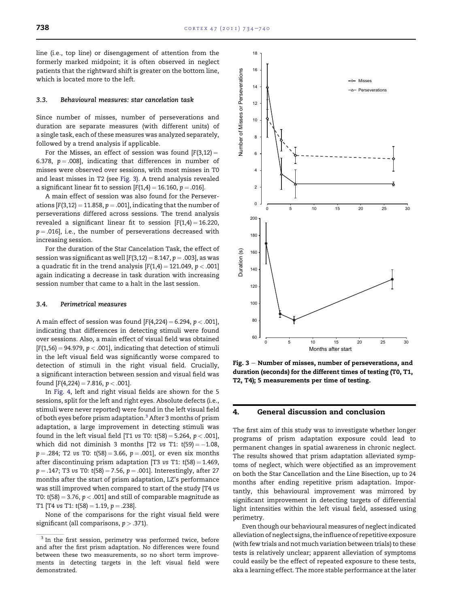line (i.e., top line) or disengagement of attention from the formerly marked midpoint; it is often observed in neglect patients that the rightward shift is greater on the bottom line, which is located more to the left.

#### 3.3. Behavioural measures: star cancelation task

Since number of misses, number of perseverations and duration are separate measures (with different units) of a single task, each of these measures was analyzed separately, followed by a trend analysis if applicable.

For the Misses, an effect of session was found  $[F(3,12) =$ 6.378,  $p = .008$ ], indicating that differences in number of misses were observed over sessions, with most misses in T0 and least misses in T2 (see Fig. 3). A trend analysis revealed a significant linear fit to session  $[F(1,4) = 16.160, p = .016]$ .

A main effect of session was also found for the Perseverations  $[F(3,12) = 11.858, p = .001]$ , indicating that the number of perseverations differed across sessions. The trend analysis revealed a significant linear fit to session  $[F(1,4) = 16.220,$  $p = .016$ ], i.e., the number of perseverations decreased with increasing session.

For the duration of the Star Cancelation Task, the effect of session was significant as well  $[F(3,12) = 8.147, p = .003]$ , as was a quadratic fit in the trend analysis  $[F(1,4) = 121.049, p < .001]$ again indicating a decrease in task duration with increasing session number that came to a halt in the last session.

#### 3.4. Perimetrical measures

A main effect of session was found  $[F(4,224) = 6.294, p < .001]$ , indicating that differences in detecting stimuli were found over sessions. Also, a main effect of visual field was obtained  $[F(1,56) = 94.979, p < .001]$ , indicating that detection of stimuli in the left visual field was significantly worse compared to detection of stimuli in the right visual field. Crucially, a significant interaction between session and visual field was found  $[F(4,224) = 7.816, p < .001]$ .

In [Fig. 4](#page-5-0), left and right visual fields are shown for the 5 sessions, split for the left and right eyes. Absolute defects (i.e., stimuli were never reported) were found in the left visual field of both eyes before prism adaptation.<sup>3</sup> After 3 months of prism adaptation, a large improvement in detecting stimuli was found in the left visual field [T1 vs T0:  $t(58) = 5.264$ ,  $p < .001$ ], which did not diminish 3 months [T2 vs T1:  $t(59) = -1.08$ ,  $p = .284$ ; T2 vs T0: t(58) = 3.66,  $p = .001$ , or even six months after discontinuing prism adaptation [T3 vs T1:  $t(58) = 1.469$ ,  $p = .147$ ; T3 vs T0: t(58) = 7.56,  $p = .001$ . Interestingly, after 27 months after the start of prism adaptation, LZ's performance was still improved when compared to start of the study [T4 vs T0:  $t(58) = 3.76$ ,  $p < .001$ ] and still of comparable magnitude as T1 [T4 vs T1:  $t(58) = 1.19$ ,  $p = .238$ ].

None of the comparisons for the right visual field were significant (all comparisons,  $p > .371$ ).



Fig.  $3 -$  Number of misses, number of perseverations, and duration (seconds) for the different times of testing (T0, T1, T2, T4); 5 measurements per time of testing.

## 4. General discussion and conclusion

The first aim of this study was to investigate whether longer programs of prism adaptation exposure could lead to permanent changes in spatial awareness in chronic neglect. The results showed that prism adaptation alleviated symptoms of neglect, which were objectified as an improvement on both the Star Cancellation and the Line Bisection, up to 24 months after ending repetitive prism adaptation. Importantly, this behavioural improvement was mirrored by significant improvement in detecting targets of differential light intensities within the left visual field, assessed using perimetry.

Even though our behavioural measures of neglect indicated alleviation of neglect signs, the influence of repetitive exposure (with few trials and not much variation between trials) to these tests is relatively unclear; apparent alleviation of symptoms could easily be the effect of repeated exposure to these tests, aka a learning effect. The more stable performance at the later

<sup>&</sup>lt;sup>3</sup> In the first session, perimetry was performed twice, before and after the first prism adaptation. No differences were found between these two measurements, so no short term improvements in detecting targets in the left visual field were demonstrated.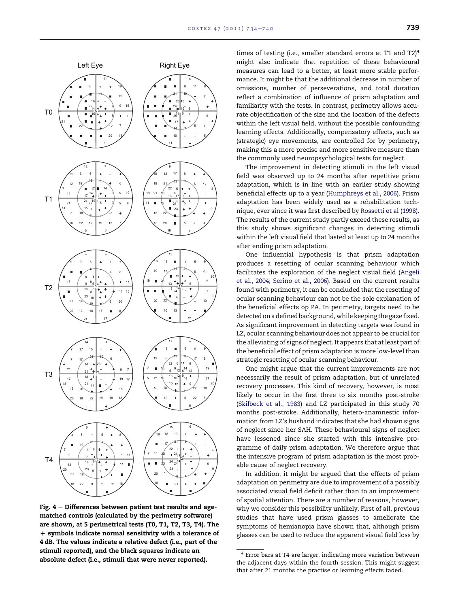<span id="page-5-0"></span>

Fig.  $4 -$  Differences between patient test results and agematched controls (calculated by the perimetry software) are shown, at 5 perimetrical tests (T0, T1, T2, T3, T4). The + symbols indicate normal sensitivity with a tolerance of 4 dB. The values indicate a relative defect (i.e., part of the stimuli reported), and the black squares indicate an absolute defect (i.e., stimuli that were never reported).

times of testing (i.e., smaller standard errors at T1 and  $T2$ )<sup>4</sup> might also indicate that repetition of these behavioural measures can lead to a better, at least more stable performance. It might be that the additional decrease in number of omissions, number of perseverations, and total duration reflect a combination of influence of prism adaptation and familiarity with the tests. In contrast, perimetry allows accurate objectification of the size and the location of the defects within the left visual field, without the possible confounding learning effects. Additionally, compensatory effects, such as (strategic) eye movements, are controlled for by perimetry, making this a more precise and more sensitive measure than the commonly used neuropsychological tests for neglect.

The improvement in detecting stimuli in the left visual field was observed up to 24 months after repetitive prism adaptation, which is in line with an earlier study showing beneficial effects up to a year ([Humphreys et al., 2006\)](#page-6-0). Prism adaptation has been widely used as a rehabilitation technique, ever since it was first described by [Rossetti et al \(1998\).](#page-6-0) The results of the current study partly exceed these results, as this study shows significant changes in detecting stimuli within the left visual field that lasted at least up to 24 months after ending prism adaptation.

One influential hypothesis is that prism adaptation produces a resetting of ocular scanning behaviour which facilitates the exploration of the neglect visual field [\(Angeli](#page-6-0) [et al., 2004; Serino et al., 2006](#page-6-0)). Based on the current results found with perimetry, it can be concluded that the resetting of ocular scanning behaviour can not be the sole explanation of the beneficial effects op PA. In perimetry, targets need to be detected on a defined background, while keeping the gaze fixed. As significant improvement in detecting targets was found in LZ, ocular scanning behaviour does not appear to be crucial for the alleviating of signs of neglect. It appears that at least part of the beneficial effect of prism adaptation is more low-level than strategic resetting of ocular scanning behaviour.

One might argue that the current improvements are not necessarily the result of prism adaptation, but of unrelated recovery processes. This kind of recovery, however, is most likely to occur in the first three to six months post-stroke [\(Skilbeck et al., 1983\)](#page-6-0) and LZ participated in this study 70 months post-stroke. Additionally, hetero-anamnestic information from LZ's husband indicates that she had shown signs of neglect since her SAH. These behavioural signs of neglect have lessened since she started with this intensive programme of daily prism adaptation. We therefore argue that the intensive program of prism adaptation is the most probable cause of neglect recovery.

In addition, it might be argued that the effects of prism adaptation on perimetry are due to improvement of a possibly associated visual field deficit rather than to an improvement of spatial attention. There are a number of reasons, however, why we consider this possibility unlikely. First of all, previous studies that have used prism glasses to ameliorate the symptoms of hemianopia have shown that, although prism glasses can be used to reduce the apparent visual field loss by

 Error bars at T4 are larger, indicating more variation between the adjacent days within the fourth session. This might suggest that after 21 months the practise or learning effects faded.